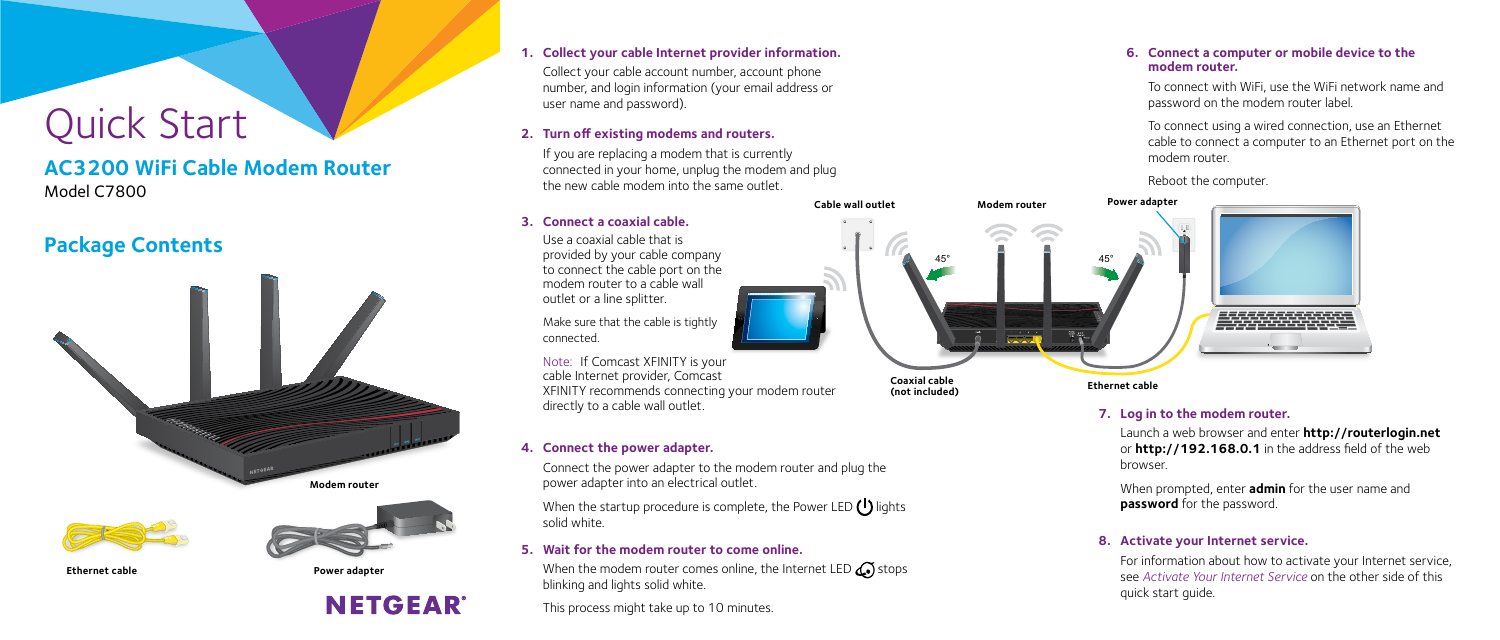# Quick Start

### **Package Contents**

### **AC3200 WiFi Cable Modem Router** Model C7800

#### **1. Collect your cable Internet provider information.**

Collect your cable account number, account phone number, and login information (your email address or user name and password).

#### **3. Connect a coaxial cable.**

Use a coaxial cable that is provided by your cable company to connect the cable port on the modem router to a cable wall outlet or a line splitter.

When the startup procedure is complete, the Power LED  $\left(\begin{array}{c} \bullet \end{array}\right)$  lights solid white.

Make sure that the cable is tightly connected.

Note: If Comcast XFINITY is your cable Internet provider, Comcast XFINITY recommends connecting your modem router directly to a cable wall outlet.

When the modem router comes online, the Internet LED  $\mathbb{C}$  stops blinking and lights solid white.

#### **4. Connect the power adapter.**

Connect the power adapter to the modem router and plug the power adapter into an electrical outlet.

#### **2. Turn off existing modems and routers.**

If you are replacing a modem that is currently connected in your home, unplug the modem and plug the new cable modem into the same outlet.

## $45^{\circ}$  45° **Modem router Coaxial cable (not included) Cable wall outlet**

#### **5. Wait for the modem router to come online.**

This process might take up to 10 minutes.

#### **6. Connect a computer or mobile device to the modem router.**

To connect with WiFi, use the WiFi network name and password on the modem router label.

To connect using a wired connection, use an Ethernet cable to connect a computer to an Ethernet port on the modem router.

Reboot the computer.

#### **7. Log in to the modem router.**

Launch a web browser and enter **http://routerlogin.net** or **http://192.168.0.1** in the address field of the web browser.

When prompted, enter **admin** for the user name and **password** for the password.

#### **8. Activate your Internet service.**

For information about how to activate your Internet service, see *[Activate Your Internet Service](#page-1-0)* on the other side of this quick start guide.



#### **Ethernet cable**